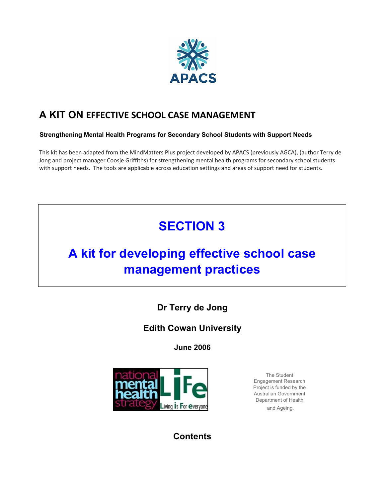

# **A KIT ON EFFECTIVE SCHOOL CASE MANAGEMENT**

### **Strengthening Mental Health Programs for Secondary School Students with Support Needs**

This kit has been adapted from the MindMatters Plus project developed by APACS (previously AGCA), (author Terry de Jong and project manager Coosje Griffiths) for strengthening mental health programs for secondary school students with support needs. The tools are applicable across education settings and areas of support need for students.

# **SECTION 3**

# **A kit for developing effective school case management practices**

**Dr Terry de Jong** 

# **Edith Cowan University**

**June 2006** 



The Student Engagement Research Project is funded by the Australian Government Department of Health and Ageing.

**Contents**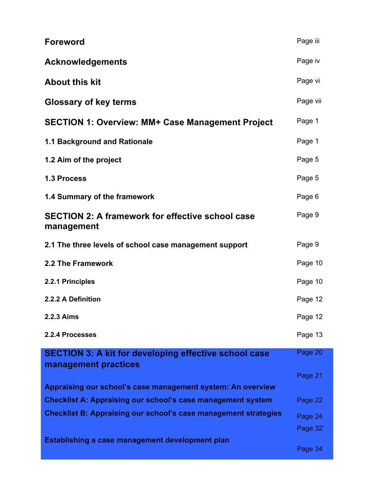| <b>Foreword</b>                                                                      | Page iii |
|--------------------------------------------------------------------------------------|----------|
| <b>Acknowledgements</b>                                                              | Page iv  |
| <b>About this kit</b>                                                                | Page vi  |
| <b>Glossary of key terms</b>                                                         | Page vii |
| <b>SECTION 1: Overview: MM+ Case Management Project</b>                              | Page 1   |
| <b>1.1 Background and Rationale</b>                                                  | Page 1   |
| 1.2 Aim of the project                                                               | Page 5   |
| <b>1.3 Process</b>                                                                   | Page 5   |
| 1.4 Summary of the framework                                                         | Page 6   |
| <b>SECTION 2: A framework for effective school case</b><br>management                | Page 9   |
| 2.1 The three levels of school case management support                               | Page 9   |
| 2.2 The Framework                                                                    | Page 10  |
| 2.2.1 Principles                                                                     | Page 10  |
| 2.2.2 A Definition                                                                   | Page 12  |
| 2.2.3 Aims                                                                           | Page 12  |
| 2.2.4 Processes                                                                      | Page 13  |
| <b>SECTION 3: A kit for developing effective school case</b><br>management practices | Page 20  |
|                                                                                      | Page 21  |
| Appraising our school's case management system: An overview                          |          |
| <b>Checklist A: Appraising our school's case management system</b>                   | Page 22  |
| <b>Checklist B: Appraising our school's case management strategies</b>               | Page 24  |
|                                                                                      | Page 32  |
| Establishing a case management development plan                                      | Page 34  |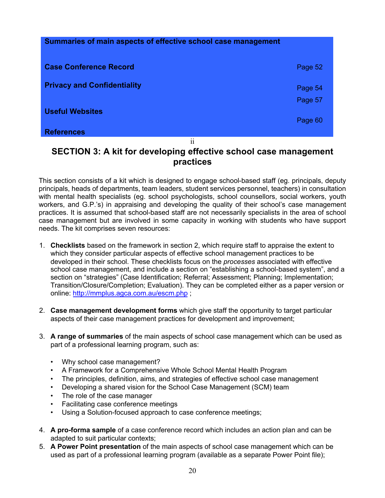| Summaries of main aspects of effective school case management |         |
|---------------------------------------------------------------|---------|
| <b>Case Conference Record</b>                                 | Page 52 |
| <b>Privacy and Confidentiality</b>                            | Page 54 |
| <b>Useful Websites</b>                                        | Page 57 |
| <b>References</b>                                             | Page 60 |
| $\mathbf{ii}$                                                 |         |

# **SECTION 3: A kit for developing effective school case management practices**

This section consists of a kit which is designed to engage school-based staff (eg. principals, deputy principals, heads of departments, team leaders, student services personnel, teachers) in consultation with mental health specialists (eg. school psychologists, school counsellors, social workers, youth workers, and G.P.'s) in appraising and developing the quality of their school's case management practices. It is assumed that school-based staff are not necessarily specialists in the area of school case management but are involved in some capacity in working with students who have support needs. The kit comprises seven resources:

- 1. **Checklists** based on the framework in section 2, which require staff to appraise the extent to which they consider particular aspects of effective school management practices to be developed in their school. These checklists focus on the *processes* associated with effective school case management, and include a section on "establishing a school-based system", and a section on "strategies" (Case Identification; Referral; Assessment; Planning; Implementation; Transition/Closure/Completion; Evaluation). They can be completed either as a paper version or online: http://mmplus.agca.com.au/escm.php ;
- 2. **Case management development forms** which give staff the opportunity to target particular aspects of their case management practices for development and improvement;
- 3. **A range of summaries** of the main aspects of school case management which can be used as part of a professional learning program, such as:
	- Why school case management?
	- A Framework for a Comprehensive Whole School Mental Health Program
	- The principles, definition, aims, and strategies of effective school case management
	- Developing a shared vision for the School Case Management (SCM) team
	- The role of the case manager
	- Facilitating case conference meetings
	- Using a Solution-focused approach to case conference meetings;
- 4. **A pro-forma sample** of a case conference record which includes an action plan and can be adapted to suit particular contexts;
- 5. **A Power Point presentation** of the main aspects of school case management which can be used as part of a professional learning program (available as a separate Power Point file);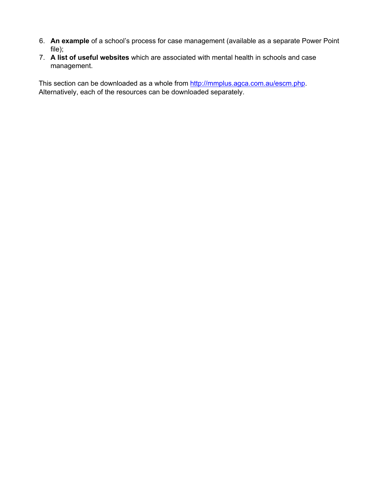- 6. **An example** of a school's process for case management (available as a separate Power Point file);
- 7. **A list of useful websites** which are associated with mental health in schools and case management.

This section can be downloaded as a whole from http://mmplus.agca.com.au/escm.php. Alternatively, each of the resources can be downloaded separately.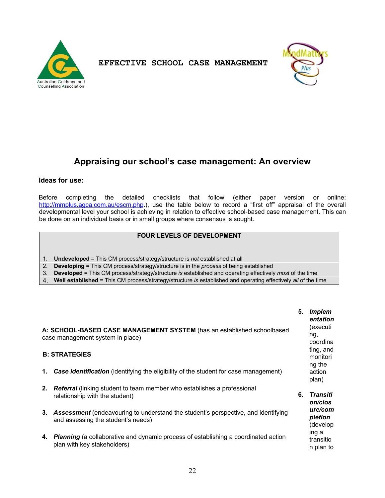



# **Appraising our school's case management: An overview**

#### **Ideas for use:**

Before completing the detailed checklists that follow (either paper version or online: http://mmplus.agca.com.au/escm.php.), use the table below to record a "first off" appraisal of the overall developmental level your school is achieving in relation to effective school-based case management. This can be done on an individual basis or in small groups where consensus is sought.

### **FOUR LEVELS OF DEVELOPMENT**

- 1. **Undeveloped** = This CM process/strategy/structure is *not* established at all
- 2. **Developing** = This CM process/strategy/structure is in the *process* of being established
- 3. **Developed** = This CM process/strategy/structure *is* established and operating effectively *most* of the time
- 4. **Well established** = This CM process/strategy/structure *is* established and operating effectively *all* of the time

|    | A: SCHOOL-BASED CASE MANAGEMENT SYSTEM (has an established schoolbased<br>case management system in place)<br><b>B: STRATEGIES</b><br><b>Case identification</b> (identifying the eligibility of the student for case management) | 5. | <b>Implem</b><br>entation<br>(executi<br>ng,<br>coordina<br>ting, and<br>monitori<br>ng the<br>action<br>plan) |
|----|-----------------------------------------------------------------------------------------------------------------------------------------------------------------------------------------------------------------------------------|----|----------------------------------------------------------------------------------------------------------------|
| 2. | <b>Referral</b> (linking student to team member who establishes a professional<br>relationship with the student)                                                                                                                  |    | 6. Transiti<br>on/clos                                                                                         |
| 3. | <b>Assessment</b> (endeavouring to understand the student's perspective, and identifying<br>and assessing the student's needs)                                                                                                    |    | ure/com<br>pletion<br>(develop                                                                                 |
| 4. | <b>Planning</b> (a collaborative and dynamic process of establishing a coordinated action<br>plan with key stakeholders)                                                                                                          |    | ing a<br>transitio<br>n plan to                                                                                |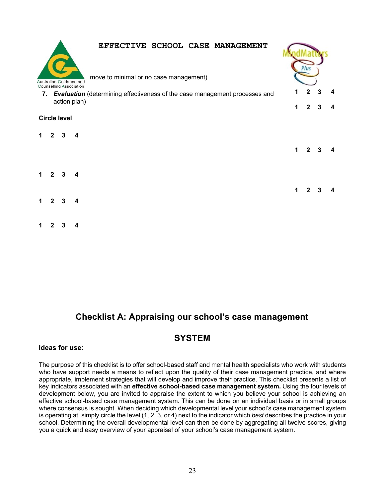

indMatters

|   |              |                     | Australian Guidance and<br><b>Counselling Association</b> | move to minimal or no case management)                                        |    |              |   |  |
|---|--------------|---------------------|-----------------------------------------------------------|-------------------------------------------------------------------------------|----|--------------|---|--|
|   |              |                     |                                                           | 7. Evaluation (determining effectiveness of the case management processes and |    | 2            |   |  |
|   |              |                     | action plan)                                              |                                                                               | 1  | $\mathbf{2}$ | 3 |  |
|   |              | <b>Circle level</b> |                                                           |                                                                               |    |              |   |  |
| 1 | $\mathbf{2}$ | 3                   | 4                                                         |                                                                               |    |              |   |  |
|   |              |                     |                                                           |                                                                               | 1. | 2            |   |  |
| 1 | $\mathbf{2}$ | 3                   | 4                                                         |                                                                               |    |              |   |  |
|   |              |                     |                                                           |                                                                               | 1  |              |   |  |
| 1 |              | 3                   | 4                                                         |                                                                               |    |              |   |  |

# **Checklist A: Appraising our school's case management**

# **SYSTEM**

#### **Ideas for use:**

**1 2 3 4** 

The purpose of this checklist is to offer school-based staff and mental health specialists who work with students who have support needs a means to reflect upon the quality of their case management practice, and where appropriate, implement strategies that will develop and improve their practice. This checklist presents a list of key indicators associated with an **effective school-based case management system.** Using the four levels of development below, you are invited to appraise the extent to which you believe your school is achieving an effective school-based case management system. This can be done on an individual basis or in small groups where consensus is sought. When deciding which developmental level your school's case management system is operating at, simply circle the level (1, 2, 3, or 4) next to the indicator which *best* describes the practice in your school. Determining the overall developmental level can then be done by aggregating all twelve scores, giving you a quick and easy overview of your appraisal of your school's case management system.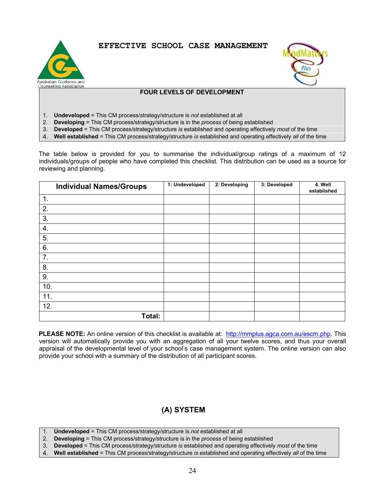



### **FOUR LEVELS OF DEVELOPMENT**

- 1. **Undeveloped** = This CM process/strategy/structure is *not* established at all
- 2. **Developing** = This CM process/strategy/structure is in the *process* of being established
- 3. **Developed** = This CM process/strategy/structure *is* established and operating effectively *most* of the time
- 4. **Well established** = This CM process/strategy/structure *is* established and operating effectively *all* of the time

The table below is provided for you to summarise the individual/group ratings of a maximum of 12 individuals/groups of people who have completed this checklist. This distribution can be used as a source for reviewing and planning.

|     | <b>Individual Names/Groups</b> | 1: Undeveloped | 2: Developing | 3: Developed | 4. Well<br>established |
|-----|--------------------------------|----------------|---------------|--------------|------------------------|
| 1.  |                                |                |               |              |                        |
| 2.  |                                |                |               |              |                        |
| 3.  |                                |                |               |              |                        |
| 4.  |                                |                |               |              |                        |
| 5.  |                                |                |               |              |                        |
| 6.  |                                |                |               |              |                        |
| 7.  |                                |                |               |              |                        |
| 8.  |                                |                |               |              |                        |
| 9.  |                                |                |               |              |                        |
| 10. |                                |                |               |              |                        |
| 11. |                                |                |               |              |                        |
| 12. |                                |                |               |              |                        |
|     | Total:                         |                |               |              |                        |

**PLEASE NOTE:** An online version of this checklist is available at: http://mmplus.agca.com.au/escm.php. This version will automatically provide you with an aggregation of all your twelve scores, and thus your overall appraisal of the developmental level of your school's case management system. The online version can also provide your school with a summary of the distribution of all participant scores.

# **(A) SYSTEM**

1. **Undeveloped** = This CM process/strategy/structure is *not* established at all

2. **Developing** = This CM process/strategy/structure is in the *process* of being established

3. **Developed** = This CM process/strategy/structure *is* established and operating effectively *most* of the time

4. **Well established** = This CM process/strategy/structure *is* established and operating effectively *all* of the time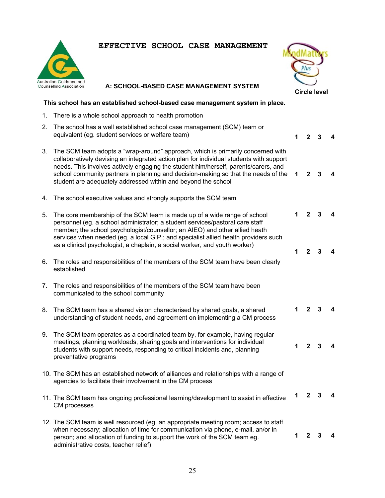



**1 2 3 4** 

 $1 \quad 2 \quad 3$ 

**A: SCHOOL-BASED CASE MANAGEMENT SYSTEM** 

### **This school has an established school-based case management system in place.**

- 1. There is a whole school approach to health promotion
- 2. The school has a well established school case management (SCM) team or equivalent (eg. student services or welfare team)
- 3. The SCM team adopts a "wrap-around" approach, which is primarily concerned with collaboratively devising an integrated action plan for individual students with support needs. This involves actively engaging the student him/herself, parents/carers, and school community partners in planning and decision-making so that the needs of the student are adequately addressed within and beyond the school **1 2 3 4**
- 4. The school executive values and strongly supports the SCM team
- 5. The core membership of the SCM team is made up of a wide range of school personnel (eg. a school administrator; a student services/pastoral care staff member; the school psychologist/counsellor; an AIEO) and other allied heath services when needed (eg. a local G.P.; and specialist allied health providers such as a clinical psychologist, a chaplain, a social worker, and youth worker)  $1 \quad 2 \quad 3$  $1 \quad 2 \quad 3$
- 6. The roles and responsibilities of the members of the SCM team have been clearly established
- 7. The roles and responsibilities of the members of the SCM team have been communicated to the school community
- 8. The SCM team has a shared vision characterised by shared goals, a shared understanding of student needs, and agreement on implementing a CM process  $1 \quad 2 \quad 3$
- 9. The SCM team operates as a coordinated team by, for example, having regular meetings, planning workloads, sharing goals and interventions for individual students with support needs, responding to critical incidents and, planning preventative programs
- 10. The SCM has an established network of alliances and relationships with a range of agencies to facilitate their involvement in the CM process
- 11. The SCM team has ongoing professional learning/development to assist in effective CM processes **1 2 3 4**
- 12. The SCM team is well resourced (eg. an appropriate meeting room; access to staff when necessary; allocation of time for communication via phone, e-mail, an/or in person; and allocation of funding to support the work of the SCM team eg. administrative costs, teacher relief) **1 2 3 4**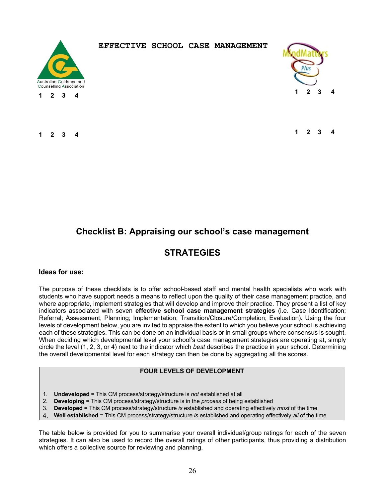

**1 2 3 4** 

### **EFFECTIVE SCHOOL CASE MANAGEMENT**



 $1 \quad 2 \quad 3$ 

**1 2 3 4** 

# **Checklist B: Appraising our school's case management**

# **STRATEGIES**

#### **Ideas for use:**

The purpose of these checklists is to offer school-based staff and mental health specialists who work with students who have support needs a means to reflect upon the quality of their case management practice, and where appropriate, implement strategies that will develop and improve their practice. They present a list of key indicators associated with seven **effective school case management strategies** (i.e. Case Identification; Referral; Assessment; Planning; Implementation; Transition/Closure/Completion; Evaluation)**.** Using the four levels of development below, you are invited to appraise the extent to which you believe your school is achieving each of these strategies. This can be done on an individual basis or in small groups where consensus is sought. When deciding which developmental level your school's case management strategies are operating at, simply circle the level (1, 2, 3, or 4) next to the indicator which *best* describes the practice in your school. Determining the overall developmental level for each strategy can then be done by aggregating all the scores.

#### **FOUR LEVELS OF DEVELOPMENT**

- 1. **Undeveloped** = This CM process/strategy/structure is *not* established at all
- 2. **Developing** = This CM process/strategy/structure is in the *process* of being established
- 3. **Developed** = This CM process/strategy/structure *is* established and operating effectively *most* of the time
- 4. **Well established** = This CM process/strategy/structure *is* established and operating effectively *all* of the time

The table below is provided for you to summarise your overall individual/group ratings for each of the seven strategies. It can also be used to record the overall ratings of other participants, thus providing a distribution which offers a collective source for reviewing and planning.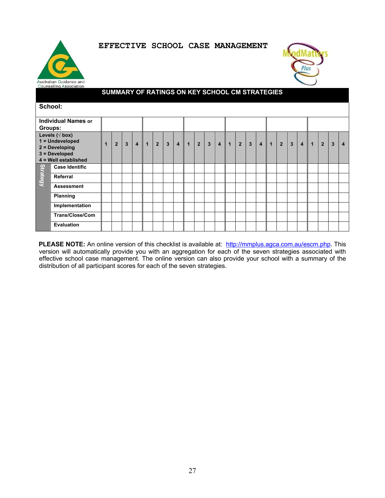



### **SUMMARY OF RATINGS ON KEY SCHOOL CM STRATEGIES**

|                 | School:                                                                                                     |  |                |                |              |                |                |                |                |                |             |                |              |                |                |                |              |              |                |                |          |              |                |   |                         |
|-----------------|-------------------------------------------------------------------------------------------------------------|--|----------------|----------------|--------------|----------------|----------------|----------------|----------------|----------------|-------------|----------------|--------------|----------------|----------------|----------------|--------------|--------------|----------------|----------------|----------|--------------|----------------|---|-------------------------|
|                 | <b>Individual Names or</b>                                                                                  |  |                |                |              |                |                |                |                |                |             |                |              |                |                |                |              |              |                |                |          |              |                |   |                         |
| Groups:         |                                                                                                             |  |                |                |              |                |                |                |                |                |             |                |              |                |                |                |              |              |                |                |          |              |                |   |                         |
|                 | Levels ( $\sqrt{box}$ )                                                                                     |  |                |                |              |                |                |                |                |                |             |                |              |                |                |                |              |              |                |                |          |              |                |   |                         |
|                 | 1 = Undeveloped                                                                                             |  | $\overline{2}$ | $\overline{3}$ | $\mathbf{A}$ | $\overline{1}$ | 2 <sup>1</sup> | $\overline{3}$ | $\overline{4}$ | $\overline{1}$ | $2^{\circ}$ | $\overline{3}$ | $\mathbf{A}$ | $\overline{1}$ | $\overline{2}$ | $\overline{3}$ | $\mathbf{A}$ | $\mathbf{1}$ | $\overline{2}$ | $\overline{3}$ | $\Delta$ | $\mathbf{1}$ | $\overline{2}$ | 3 | $\overline{\mathbf{4}}$ |
|                 | $2 = Developing$<br>$3 = Developed$                                                                         |  |                |                |              |                |                |                |                |                |             |                |              |                |                |                |              |              |                |                |          |              |                |   |                         |
|                 | 4 = Well established                                                                                        |  |                |                |              |                |                |                |                |                |             |                |              |                |                |                |              |              |                |                |          |              |                |   |                         |
|                 | <b>Case Identific</b>                                                                                       |  |                |                |              |                |                |                |                |                |             |                |              |                |                |                |              |              |                |                |          |              |                |   |                         |
| <b>Strategy</b> | Referral                                                                                                    |  |                |                |              |                |                |                |                |                |             |                |              |                |                |                |              |              |                |                |          |              |                |   |                         |
|                 | <b>Assessment</b>                                                                                           |  |                |                |              |                |                |                |                |                |             |                |              |                |                |                |              |              |                |                |          |              |                |   |                         |
|                 | <b>Planning</b>                                                                                             |  |                |                |              |                |                |                |                |                |             |                |              |                |                |                |              |              |                |                |          |              |                |   |                         |
|                 | Implementation                                                                                              |  |                |                |              |                |                |                |                |                |             |                |              |                |                |                |              |              |                |                |          |              |                |   |                         |
|                 | Trans/Close/Com                                                                                             |  |                |                |              |                |                |                |                |                |             |                |              |                |                |                |              |              |                |                |          |              |                |   |                         |
|                 | <b>Evaluation</b>                                                                                           |  |                |                |              |                |                |                |                |                |             |                |              |                |                |                |              |              |                |                |          |              |                |   |                         |
|                 |                                                                                                             |  |                |                |              |                |                |                |                |                |             |                |              |                |                |                |              |              |                |                |          |              |                |   |                         |
|                 | PLEASE NOTE: An online version of this checklist is available at: http://mmplus.agca.com.au/escm.php. This  |  |                |                |              |                |                |                |                |                |             |                |              |                |                |                |              |              |                |                |          |              |                |   |                         |
|                 | version will automatically provide you with an aggregation for each of the seven strategies associated with |  |                |                |              |                |                |                |                |                |             |                |              |                |                |                |              |              |                |                |          |              |                |   |                         |
|                 | effective school case management. The online version can also provide your school with a summary of the     |  |                |                |              |                |                |                |                |                |             |                |              |                |                |                |              |              |                |                |          |              |                |   |                         |
|                 | distribution of all participant scores for each of the seven strategies.                                    |  |                |                |              |                |                |                |                |                |             |                |              |                |                |                |              |              |                |                |          |              |                |   |                         |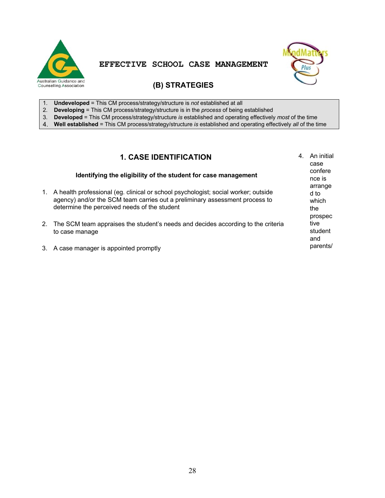



# **(B) STRATEGIES**

- 1. **Undeveloped** = This CM process/strategy/structure is *not* established at all
- 2. **Developing** = This CM process/strategy/structure is in the *process* of being established
- 3. **Developed** = This CM process/strategy/structure *is* established and operating effectively *most* of the time
- 4. **Well established** = This CM process/strategy/structure *is* established and operating effectively *all* of the time

# **1. CASE IDENTIFICATION**

|    | <b>1. CASE IDENTIFICATION</b>                                                                                                                                                                                     | 4. | An initial<br>case              |
|----|-------------------------------------------------------------------------------------------------------------------------------------------------------------------------------------------------------------------|----|---------------------------------|
|    | Identifying the eligibility of the student for case management                                                                                                                                                    |    | confere<br>nce is<br>arrange    |
| 1. | A health professional (eg. clinical or school psychologist; social worker; outside<br>agency) and/or the SCM team carries out a preliminary assessment process to<br>determine the perceived needs of the student |    | d to<br>which<br>the<br>prospec |
|    | 2. The SCM team appraises the student's needs and decides according to the criteria<br>to case manage                                                                                                             |    | tive<br>student<br>and          |
|    | 3. A case manager is appointed promptly                                                                                                                                                                           |    | parents/                        |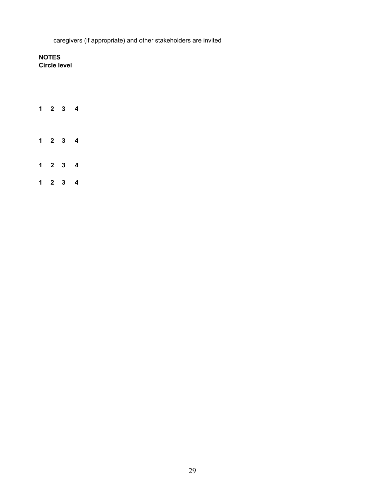caregivers (if appropriate) and other stakeholders are invited

**NOTES Circle level** 

|  | $1 \quad 2 \quad 3 \quad 4$ |                             |
|--|-----------------------------|-----------------------------|
|  |                             | $1 \quad 2 \quad 3 \quad 4$ |
|  |                             | $1 \quad 2 \quad 3 \quad 4$ |
|  |                             | $1 \quad 2 \quad 3 \quad 4$ |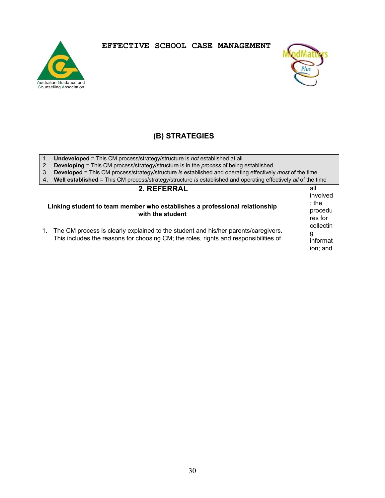



all

# **(B) STRATEGIES**

|  | <b>Undeveloped</b> = This CM process/strategy/structure is not established at all |  |
|--|-----------------------------------------------------------------------------------|--|
|  |                                                                                   |  |

2. **Developing** = This CM process/strategy/structure is in the *process* of being established

3. **Developed** = This CM process/strategy/structure *is* established and operating effectively *most* of the time 4. **Well established** = This CM process/strategy/structure *is* established and operating effectively *all* of the time

### **2. REFERRAL**

| Linking student to team member who establishes a professional relationship<br>with the student<br>1. The CM process is clearly explained to the student and his/her parents/caregivers. | involved<br>$:$ the<br>procedu<br>res for<br>collectin<br>g |
|-----------------------------------------------------------------------------------------------------------------------------------------------------------------------------------------|-------------------------------------------------------------|
| This includes the reasons for choosing CM; the roles, rights and responsibilities of                                                                                                    | informat<br>ion: and                                        |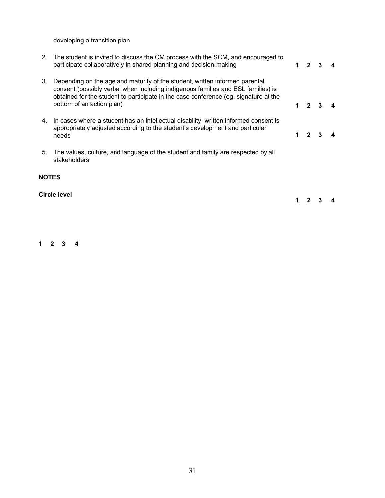developing a transition plan

|    | 2. The student is invited to discuss the CM process with the SCM, and encouraged to<br>participate collaboratively in shared planning and decision-making                                                                                                                            | $2 \quad 3$         | $\mathbf 4$ |
|----|--------------------------------------------------------------------------------------------------------------------------------------------------------------------------------------------------------------------------------------------------------------------------------------|---------------------|-------------|
| 3. | Depending on the age and maturity of the student, written informed parental<br>consent (possibly verbal when including indigenous families and ESL families) is<br>obtained for the student to participate in the case conference (eg. signature at the<br>bottom of an action plan) | $1 \quad 2 \quad 3$ |             |
| 4. | In cases where a student has an intellectual disability, written informed consent is<br>appropriately adjusted according to the student's development and particular<br>needs                                                                                                        | $1 \quad 2 \quad 3$ |             |
| 5. | The values, culture, and language of the student and family are respected by all                                                                                                                                                                                                     |                     |             |

stakeholders

# **NOTES**

**Circle level** 

**1 2 3 4** 

**1 2 3 4**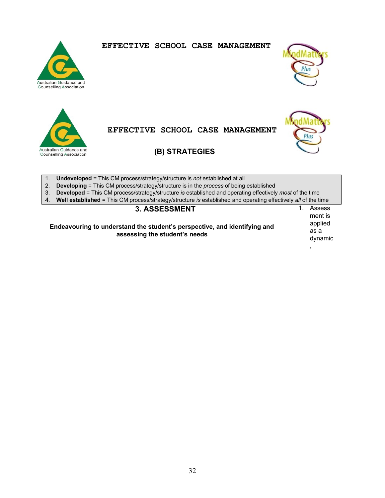



Australian Guidance and **Counselling Association** 



**EFFECTIVE SCHOOL CASE MANAGEMENT** 



1. **Undeveloped** = This CM process/strategy/structure is *not* established at all

2. **Developing** = This CM process/strategy/structure is in the *process* of being established

3. **Developed** = This CM process/strategy/structure *is* established and operating effectively *most* of the time

4. **Well established** = This CM process/strategy/structure *is* established and operating effectively *all* of the time

# **3. ASSESSMENT**

**Endeavouring to understand the student's perspective, and identifying and assessing the student's needs** 

1. Assess ment is applied as a dynamic

,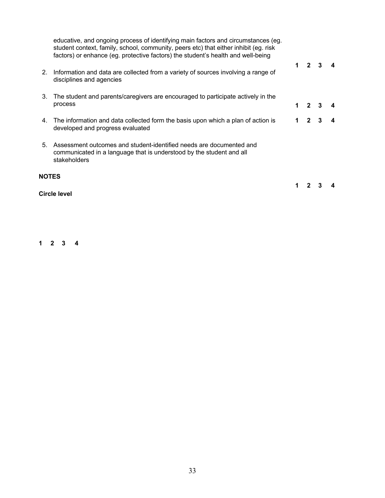| <b>NOTES</b> |                                                                                                                                                                                                                                                               |                         |   |  |
|--------------|---------------------------------------------------------------------------------------------------------------------------------------------------------------------------------------------------------------------------------------------------------------|-------------------------|---|--|
| 5.           | Assessment outcomes and student-identified needs are documented and<br>communicated in a language that is understood by the student and all<br>stakeholders                                                                                                   |                         |   |  |
| 4.           | The information and data collected form the basis upon which a plan of action is<br>developed and progress evaluated                                                                                                                                          | $\mathbf{2}$            | 3 |  |
| 3.           | The student and parents/caregivers are encouraged to participate actively in the<br>process                                                                                                                                                                   | $\overline{\mathbf{2}}$ |   |  |
| 2.           | Information and data are collected from a variety of sources involving a range of<br>disciplines and agencies                                                                                                                                                 | $1\quad 2$              | 3 |  |
|              | educative, and ongoing process of identifying main factors and circumstances (eg.<br>student context, family, school, community, peers etc) that either inhibit (eg. risk<br>factors) or enhance (eg. protective factors) the student's health and well-being |                         |   |  |

**Circle level** 

**1 2 3 4**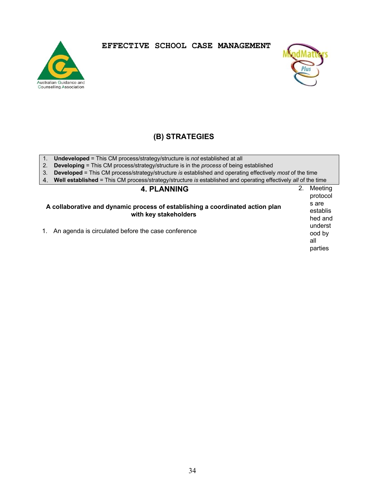



# **(B) STRATEGIES**

- 1. **Undeveloped** = This CM process/strategy/structure is *not* established at all
- 2. **Developing** = This CM process/strategy/structure is in the *process* of being established
- 3. **Developed** = This CM process/strategy/structure *is* established and operating effectively *most* of the time
- 4. **Well established** = This CM process/strategy/structure *is* established and operating effectively *all* of the time

### **4. PLANNING**

- **A collaborative and dynamic process of establishing a coordinated action plan with key stakeholders**  1. An agenda is circulated before the case conference
- protocol s are establis hed and underst ood by all parties

2. Meeting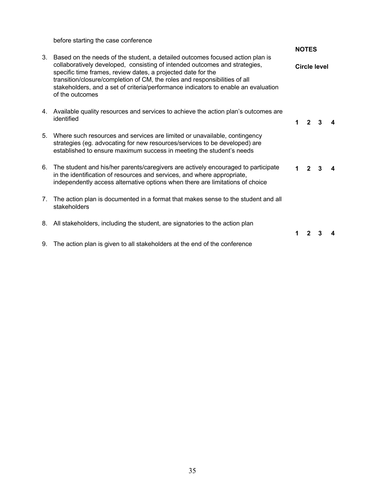before starting the case conference

|    |                                                                                                                                                                                                                                                                                                                                                                                                                    |   | <b>NOTES</b>   |                     |  |
|----|--------------------------------------------------------------------------------------------------------------------------------------------------------------------------------------------------------------------------------------------------------------------------------------------------------------------------------------------------------------------------------------------------------------------|---|----------------|---------------------|--|
| 3. | Based on the needs of the student, a detailed outcomes focused action plan is<br>collaboratively developed, consisting of intended outcomes and strategies,<br>specific time frames, review dates, a projected date for the<br>transition/closure/completion of CM, the roles and responsibilities of all<br>stakeholders, and a set of criteria/performance indicators to enable an evaluation<br>of the outcomes |   |                | <b>Circle level</b> |  |
|    | 4. Available quality resources and services to achieve the action plan's outcomes are<br>identified                                                                                                                                                                                                                                                                                                                | 1 | $\overline{2}$ | 3                   |  |
| 5. | Where such resources and services are limited or unavailable, contingency<br>strategies (eg. advocating for new resources/services to be developed) are<br>established to ensure maximum success in meeting the student's needs                                                                                                                                                                                    |   |                |                     |  |
| 6. | The student and his/her parents/caregivers are actively encouraged to participate<br>in the identification of resources and services, and where appropriate,<br>independently access alternative options when there are limitations of choice                                                                                                                                                                      |   | $\mathbf{2}$   |                     |  |
| 7. | The action plan is documented in a format that makes sense to the student and all<br>stakeholders                                                                                                                                                                                                                                                                                                                  |   |                |                     |  |
| 8. | All stakeholders, including the student, are signatories to the action plan                                                                                                                                                                                                                                                                                                                                        | 1 |                |                     |  |
|    | 9. The action plan is given to all stakeholders at the end of the conference                                                                                                                                                                                                                                                                                                                                       |   |                |                     |  |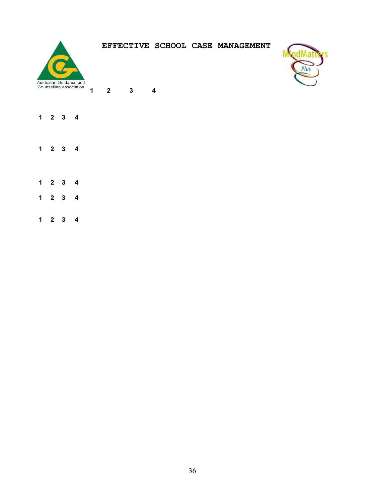

**1 2 3 4** 



- **1 2 3 4**
- **1 2 3 4**
- **1 2 3 4**
- **1 2 3 4**
- **1 2 3 4**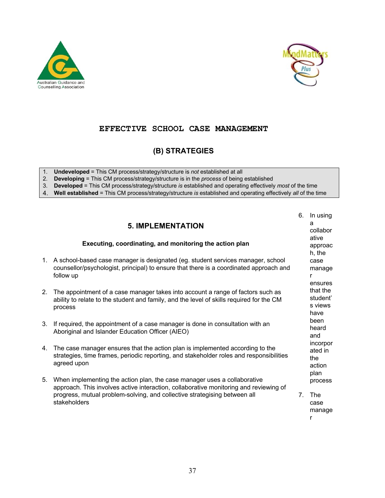



# **(B) STRATEGIES**

1. **Undeveloped** = This CM process/strategy/structure is *not* established at all

2. **Developing** = This CM process/strategy/structure is in the *process* of being established

3. **Developed** = This CM process/strategy/structure *is* established and operating effectively *most* of the time

4. **Well established** = This CM process/strategy/structure *is* established and operating effectively *all* of the time

|    | <b>5. IMPLEMENTATION</b><br>Executing, coordinating, and monitoring the action plan                                                                                                                                                                            | 6.             | In using<br>a<br>collabor<br>ative<br>approac |
|----|----------------------------------------------------------------------------------------------------------------------------------------------------------------------------------------------------------------------------------------------------------------|----------------|-----------------------------------------------|
| 1. | A school-based case manager is designated (eg. student services manager, school<br>counsellor/psychologist, principal) to ensure that there is a coordinated approach and<br>follow up                                                                         |                | h, the<br>case<br>manage<br>r<br>ensures      |
| 2. | The appointment of a case manager takes into account a range of factors such as<br>ability to relate to the student and family, and the level of skills required for the CM<br>process                                                                         |                | that the<br>student'<br>s views<br>have       |
| 3. | If required, the appointment of a case manager is done in consultation with an<br>Aboriginal and Islander Education Officer (AIEO)                                                                                                                             |                | been<br>heard<br>and                          |
| 4. | The case manager ensures that the action plan is implemented according to the<br>strategies, time frames, periodic reporting, and stakeholder roles and responsibilities<br>agreed upon                                                                        |                | incorpor<br>ated in<br>the<br>action<br>plan  |
| 5. | When implementing the action plan, the case manager uses a collaborative<br>approach. This involves active interaction, collaborative monitoring and reviewing of<br>progress, mutual problem-solving, and collective strategising between all<br>stakeholders | 7 <sub>1</sub> | process<br>The<br>case<br>manage<br>r         |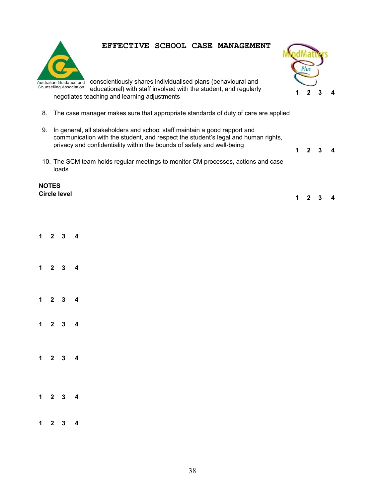

Australian Guidance and conscientiously shares individualised plans (behavioural and educational) with staff involved with the student, and regularly negotiates teaching and learning adjustments

- 8. The case manager makes sure that appropriate standards of duty of care are applied
- 9. In general, all stakeholders and school staff maintain a good rapport and communication with the student, and respect the student's legal and human rights, privacy and confidentiality within the bounds of safety and well-being
- 10. The SCM team holds regular meetings to monitor CM processes, actions and case loads

#### **NOTES Circle level**



**1 2 3 4** 

**1 2 3 4**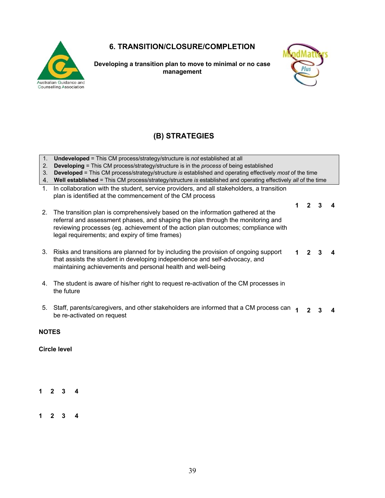# **6. TRANSITION/CLOSURE/COMPLETION**



**Developing a transition plan to move to minimal or no case management** 



# **(B) STRATEGIES**

- 1. **Undeveloped** = This CM process/strategy/structure is *not* established at all
- 2. **Developing** = This CM process/strategy/structure is in the *process* of being established
- 3. **Developed** = This CM process/strategy/structure *is* established and operating effectively *most* of the time
- 4. **Well established** = This CM process/strategy/structure *is* established and operating effectively *all* of the time
- 1. In collaboration with the student, service providers, and all stakeholders, a transition plan is identified at the commencement of the CM process

|                                                                                    | $\begin{array}{cccc} 1 & 2 & 3 \end{array}$ | $\overline{\mathbf{4}}$ |
|------------------------------------------------------------------------------------|---------------------------------------------|-------------------------|
| 2. The transition plan is comprehensively based on the information gathered at the |                                             |                         |
| referral and assessment phases, and shaping the plan through the monitoring and    |                                             |                         |
| reviewing processes (eg. achievement of the action plan outcomes; compliance with  |                                             |                         |
| legal requirements; and expiry of time frames)                                     |                                             |                         |

- 3. Risks and transitions are planned for by including the provision of ongoing support that assists the student in developing independence and self-advocacy, and maintaining achievements and personal health and well-being **1 2 3 4**
- 4. The student is aware of his/her right to request re-activation of the CM processes in the future
- 5. Staff, parents/caregivers, and other stakeholders are informed that a CM process can  $\rightarrow$ be re-activated on request **1 2 3 4**

**NOTES** 

**Circle level** 

**1 2 3 4** 

**1 2 3 4**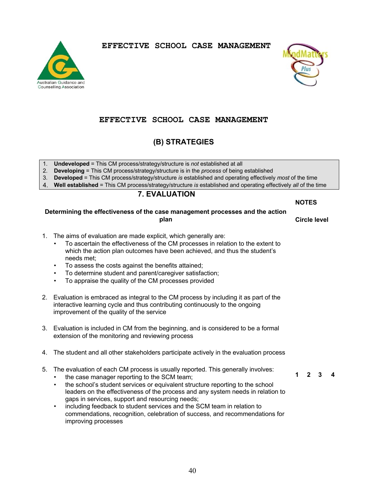



### **EFFECTIVE SCHOOL CASE MANAGEMENT**

# **(B) STRATEGIES**

- 1. **Undeveloped** = This CM process/strategy/structure is *not* established at all
- 2. **Developing** = This CM process/strategy/structure is in the *process* of being established
- 3. **Developed** = This CM process/strategy/structure *is* established and operating effectively *most* of the time
- 4. **Well established** = This CM process/strategy/structure *is* established and operating effectively *all* of the time

### **7. EVALUATION**

**NOTES** 

**Circle level** 

#### **Determining the effectiveness of the case management processes and the action plan**

- 1. The aims of evaluation are made explicit, which generally are:
	- To ascertain the effectiveness of the CM processes in relation to the extent to which the action plan outcomes have been achieved, and thus the student's needs met;
	- To assess the costs against the benefits attained;
	- To determine student and parent/caregiver satisfaction;
	- To appraise the quality of the CM processes provided
- 2. Evaluation is embraced as integral to the CM process by including it as part of the interactive learning cycle and thus contributing continuously to the ongoing improvement of the quality of the service
- 3. Evaluation is included in CM from the beginning, and is considered to be a formal extension of the monitoring and reviewing process
- 4. The student and all other stakeholders participate actively in the evaluation process
- 5. The evaluation of each CM process is usually reported. This generally involves:
	- the case manager reporting to the SCM team;
	- the school's student services or equivalent structure reporting to the school leaders on the effectiveness of the process and any system needs in relation to gaps in services, support and resourcing needs;
	- including feedback to student services and the SCM team in relation to commendations, recognition, celebration of success, and recommendations for improving processes

 $2 \quad 3$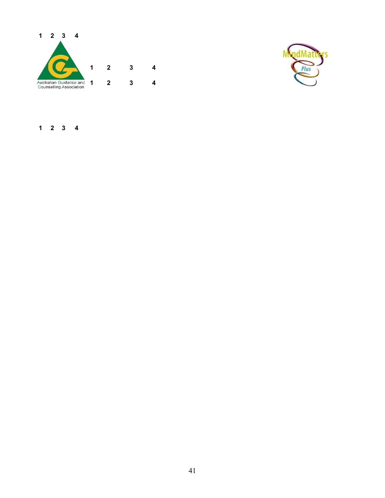



**1 2 3 4**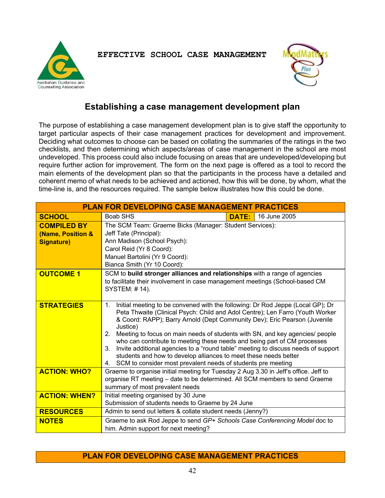



# **Establishing a case management development plan**

The purpose of establishing a case management development plan is to give staff the opportunity to target particular aspects of their case management practices for development and improvement. Deciding what outcomes to choose can be based on collating the summaries of the ratings in the two checklists, and then determining which aspects/areas of case management in the school are most undeveloped. This process could also include focusing on areas that are undeveloped/developing but require further action for improvement. The form on the next page is offered as a tool to record the main elements of the development plan so that the participants in the process have a detailed and coherent memo of what needs to be achieved and actioned, how this will be done, by whom, what the time-line is, and the resources required. The sample below illustrates how this could be done.

| <b>PLAN FOR DEVELOPING CASE MANAGEMENT PRACTICES</b>         |                                                                                                                                                                                                                                                                                                                                                                                                                                                                                                                                                                                                                                                                    |              |              |  |
|--------------------------------------------------------------|--------------------------------------------------------------------------------------------------------------------------------------------------------------------------------------------------------------------------------------------------------------------------------------------------------------------------------------------------------------------------------------------------------------------------------------------------------------------------------------------------------------------------------------------------------------------------------------------------------------------------------------------------------------------|--------------|--------------|--|
| <b>SCHOOL</b>                                                | Boab SHS                                                                                                                                                                                                                                                                                                                                                                                                                                                                                                                                                                                                                                                           | <b>DATE:</b> | 16 June 2005 |  |
| <b>COMPILED BY</b><br>(Name, Position &<br><b>Signature)</b> | The SCM Team: Graeme Bicks (Manager: Student Services):<br>Jeff Tate (Principal):<br>Ann Madison (School Psych):<br>Carol Reid (Yr 8 Coord):<br>Manuel Bartolini (Yr 9 Coord):<br>Bianca Smith (Yr 10 Coord):                                                                                                                                                                                                                                                                                                                                                                                                                                                      |              |              |  |
| <b>OUTCOME 1</b>                                             | SCM to build stronger alliances and relationships with a range of agencies<br>to facilitate their involvement in case management meetings (School-based CM<br><b>SYSTEM: #14).</b>                                                                                                                                                                                                                                                                                                                                                                                                                                                                                 |              |              |  |
| <b>STRATEGIES</b>                                            | Initial meeting to be convened with the following: Dr Rod Jeppe (Local GP); Dr<br>1.<br>Peta Thwaite (Clinical Psych: Child and Adol Centre); Len Farro (Youth Worker<br>& Coord: RAPP); Barry Arnold (Dept Community Dev); Eric Pearson (Juvenile<br>Justice)<br>Meeting to focus on main needs of students with SN, and key agencies/ people<br>2.<br>who can contribute to meeting these needs and being part of CM processes<br>Invite additional agencies to a "round table" meeting to discuss needs of support<br>3.<br>students and how to develop alliances to meet these needs better<br>4. SCM to consider most prevalent needs of students pre meeting |              |              |  |
| <b>ACTION: WHO?</b>                                          | Graeme to organise initial meeting for Tuesday 2 Aug 3.30 in Jeff's office. Jeff to<br>organise RT meeting - date to be determined. All SCM members to send Graeme<br>summary of most prevalent needs                                                                                                                                                                                                                                                                                                                                                                                                                                                              |              |              |  |
| <b>ACTION: WHEN?</b>                                         | Initial meeting organised by 30 June<br>Submission of students needs to Graeme by 24 June                                                                                                                                                                                                                                                                                                                                                                                                                                                                                                                                                                          |              |              |  |
| <b>RESOURCES</b>                                             | Admin to send out letters & collate student needs (Jenny?)                                                                                                                                                                                                                                                                                                                                                                                                                                                                                                                                                                                                         |              |              |  |
| <b>NOTES</b>                                                 | Graeme to ask Rod Jeppe to send GP+ Schools Case Conferencing Model doc to<br>him. Admin support for next meeting?                                                                                                                                                                                                                                                                                                                                                                                                                                                                                                                                                 |              |              |  |

### **PLAN FOR DEVELOPING CASE MANAGEMENT PRACTICES**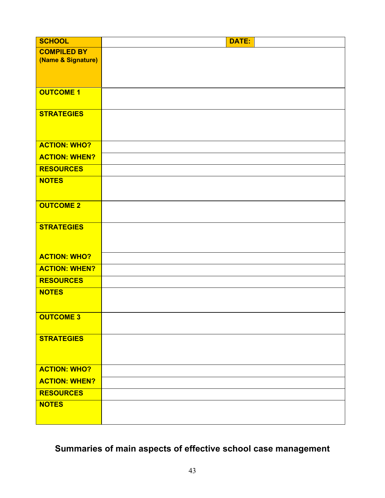| <b>SCHOOL</b>        | <b>DATE:</b> |
|----------------------|--------------|
| <b>COMPILED BY</b>   |              |
| (Name & Signature)   |              |
|                      |              |
|                      |              |
| <b>OUTCOME 1</b>     |              |
|                      |              |
| <b>STRATEGIES</b>    |              |
|                      |              |
|                      |              |
| <b>ACTION: WHO?</b>  |              |
| <b>ACTION: WHEN?</b> |              |
| <b>RESOURCES</b>     |              |
| <b>NOTES</b>         |              |
|                      |              |
| <b>OUTCOME 2</b>     |              |
|                      |              |
| <b>STRATEGIES</b>    |              |
|                      |              |
|                      |              |
| <b>ACTION: WHO?</b>  |              |
| <b>ACTION: WHEN?</b> |              |
| <b>RESOURCES</b>     |              |
| <b>NOTES</b>         |              |
|                      |              |
| <b>OUTCOME 3</b>     |              |
|                      |              |
| <b>STRATEGIES</b>    |              |
|                      |              |
|                      |              |
| <b>ACTION: WHO?</b>  |              |
| <b>ACTION: WHEN?</b> |              |
| <b>RESOURCES</b>     |              |
| <b>NOTES</b>         |              |
|                      |              |

**Summaries of main aspects of effective school case management**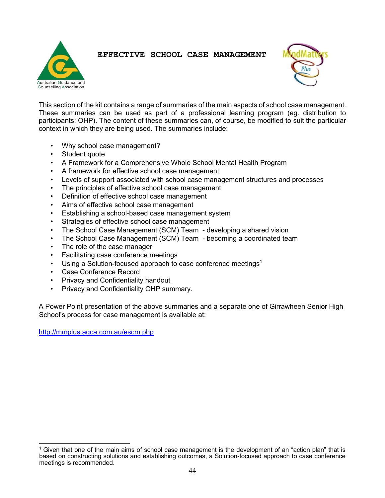# Australian Guidance and **Counselling Association**

# **EFFECTIVE SCHOOL CASE MANAGEMENT**



This section of the kit contains a range of summaries of the main aspects of school case management. These summaries can be used as part of a professional learning program (eg. distribution to participants; OHP). The content of these summaries can, of course, be modified to suit the particular context in which they are being used. The summaries include:

- Why school case management?
- Student quote
- A Framework for a Comprehensive Whole School Mental Health Program
- A framework for effective school case management
- Levels of support associated with school case management structures and processes
- The principles of effective school case management
- Definition of effective school case management
- Aims of effective school case management
- Establishing a school-based case management system
- Strategies of effective school case management
- The School Case Management (SCM) Team developing a shared vision
- The School Case Management (SCM) Team becoming a coordinated team
- The role of the case manager
- Facilitating case conference meetings
- Using a Solution-focused approach to case conference meetings<sup>1</sup>
- Case Conference Record
- Privacy and Confidentiality handout
- Privacy and Confidentiality OHP summary.

A Power Point presentation of the above summaries and a separate one of Girrawheen Senior High School's process for case management is available at:

http://mmplus.agca.com.au/escm.php

 $1$  Given that one of the main aims of school case management is the development of an "action plan" that is based on constructing solutions and establishing outcomes, a Solution-focused approach to case conference meetings is recommended.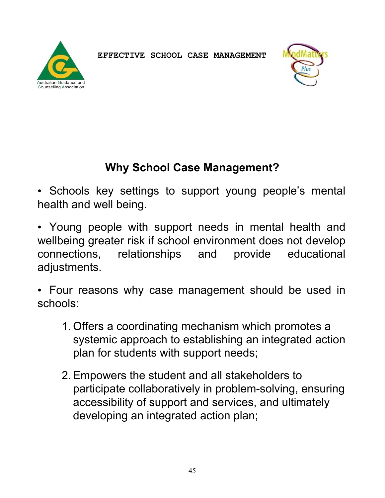



# **Why School Case Management?**

• Schools key settings to support young people's mental health and well being.

- Young people with support needs in mental health and wellbeing greater risk if school environment does not develop connections, relationships and provide educational adjustments.
- Four reasons why case management should be used in schools:
	- 1. Offers a coordinating mechanism which promotes a systemic approach to establishing an integrated action plan for students with support needs;
	- 2.Empowers the student and all stakeholders to participate collaboratively in problem-solving, ensuring accessibility of support and services, and ultimately developing an integrated action plan;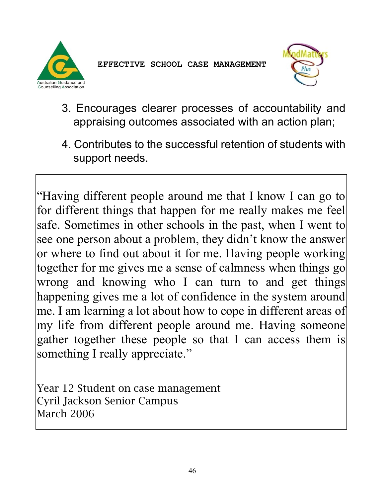



- 3. Encourages clearer processes of accountability and appraising outcomes associated with an action plan;
- 4. Contributes to the successful retention of students with support needs.

"Having different people around me that I know I can go to for different things that happen for me really makes me feel safe. Sometimes in other schools in the past, when I went to see one person about a problem, they didn't know the answer or where to find out about it for me. Having people working together for me gives me a sense of calmness when things go wrong and knowing who I can turn to and get things happening gives me a lot of confidence in the system around me. I am learning a lot about how to cope in different areas of my life from different people around me. Having someone gather together these people so that I can access them is something I really appreciate."

Year 12 Student on case management Cyril Jackson Senior Campus March 2006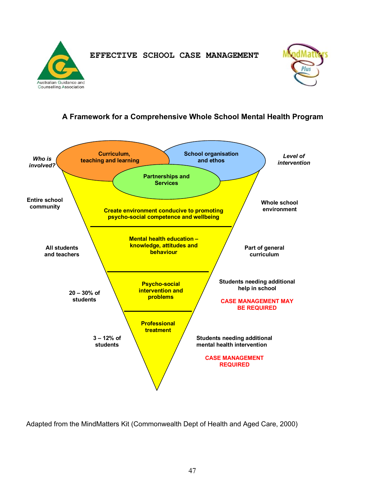



# **A Framework for a Comprehensive Whole School Mental Health Program**



Adapted from the MindMatters Kit (Commonwealth Dept of Health and Aged Care, 2000)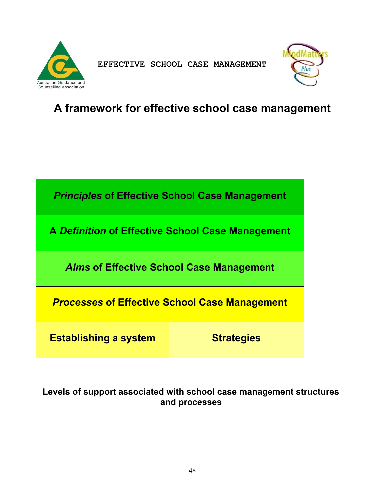



# **A framework for effective school case management**



# **Levels of support associated with school case management structures and processes**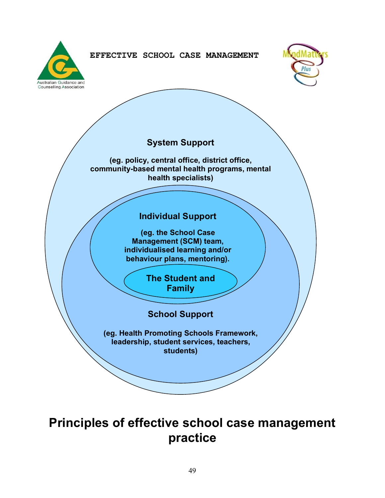



# **System Support (eg. policy, central office, district office, community-based mental health programs, mental health specialists) School Support (eg. Health Promoting Schools Framework, leadership, student services, teachers, students) Individual Support (eg. the School Case Management (SCM) team, individualised learning and/or behaviour plans, mentoring). The Student and Family**

# **Principles of effective school case management practice**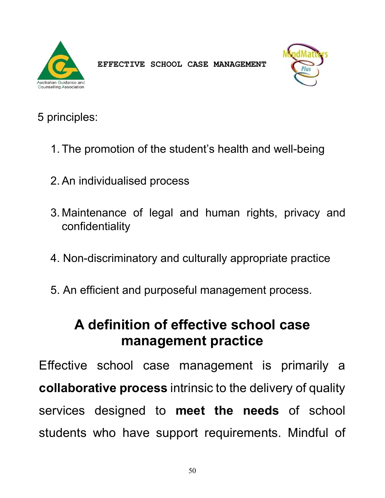



# 5 principles:

- 1. The promotion of the student's health and well-being
- 2.An individualised process
- 3. Maintenance of legal and human rights, privacy and confidentiality
- 4. Non-discriminatory and culturally appropriate practice
- 5. An efficient and purposeful management process.

# **A definition of effective school case management practice**

Effective school case management is primarily a **collaborative process** intrinsic to the delivery of quality services designed to **meet the needs** of school students who have support requirements. Mindful of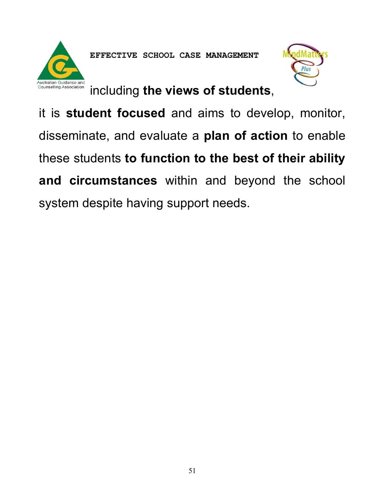



including **the views of students**,

it is **student focused** and aims to develop, monitor, disseminate, and evaluate a **plan of action** to enable these students **to function to the best of their ability and circumstances** within and beyond the school system despite having support needs.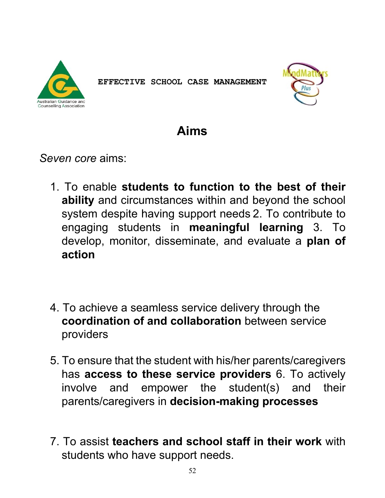



# **Aims**

*Seven core* aims:

- 1. To enable **students to function to the best of their ability** and circumstances within and beyond the school system despite having support needs 2. To contribute to engaging students in **meaningful learning** 3. To develop, monitor, disseminate, and evaluate a **plan of action**
- 4. To achieve a seamless service delivery through the **coordination of and collaboration** between service providers
- 5. To ensure that the student with his/her parents/caregivers has **access to these service providers** 6. To actively involve and empower the student(s) and their parents/caregivers in **decision-making processes**
- 7. To assist **teachers and school staff in their work** with students who have support needs.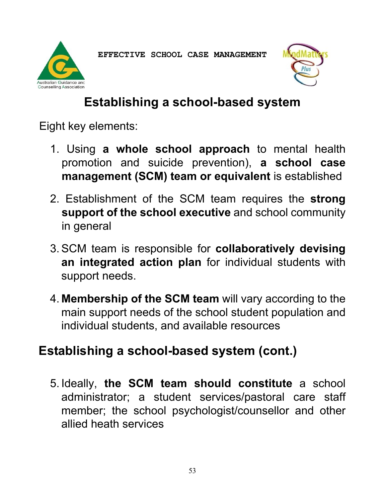



# **Establishing a school-based system**

Eight key elements:

- 1. Using **a whole school approach** to mental health promotion and suicide prevention), **a school case management (SCM) team or equivalent** is established
- 2. Establishment of the SCM team requires the **strong support of the school executive** and school community in general
- 3.SCM team is responsible for **collaboratively devising an integrated action plan** for individual students with support needs.
- 4. **Membership of the SCM team** will vary according to the main support needs of the school student population and individual students, and available resources

# **Establishing a school-based system (cont.)**

5. Ideally, **the SCM team should constitute** a school administrator; a student services/pastoral care staff member; the school psychologist/counsellor and other allied heath services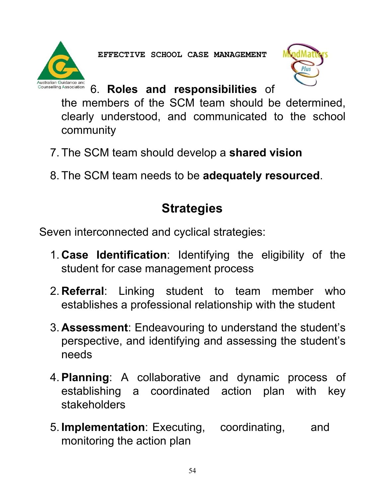



# 6. **Roles and responsibilities** of

the members of the SCM team should be determined, clearly understood, and communicated to the school community

- 7. The SCM team should develop a **shared vision**
- 8. The SCM team needs to be **adequately resourced**.

# **Strategies**

Seven interconnected and cyclical strategies:

- 1. **Case Identification**: Identifying the eligibility of the student for case management process
- 2. **Referral**: Linking student to team member who establishes a professional relationship with the student
- 3. **Assessment**: Endeavouring to understand the student's perspective, and identifying and assessing the student's needs
- 4.**Planning**: A collaborative and dynamic process of establishing a coordinated action plan with key stakeholders
- 5. **Implementation**: Executing, coordinating, and monitoring the action plan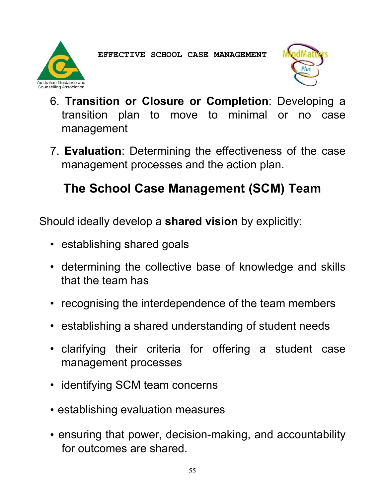



- 6. **Transition or Closure or Completion**: Developing a transition plan to move to minimal or no case management
- 7. **Evaluation**: Determining the effectiveness of the case management processes and the action plan.

# **The School Case Management (SCM) Team**

Should ideally develop a **shared vision** by explicitly:

- establishing shared goals
- determining the collective base of knowledge and skills that the team has
- recognising the interdependence of the team members
- establishing a shared understanding of student needs
- clarifying their criteria for offering a student case management processes
- identifying SCM team concerns
- establishing evaluation measures
- ensuring that power, decision-making, and accountability for outcomes are shared.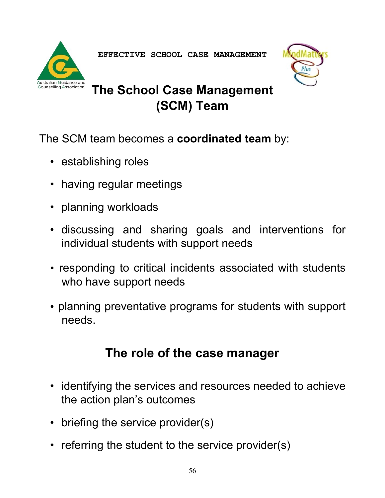



# **The School Case Management (SCM) Team**

The SCM team becomes a **coordinated team** by:

- establishing roles
- having regular meetings
- planning workloads
- discussing and sharing goals and interventions for individual students with support needs
- responding to critical incidents associated with students who have support needs
- planning preventative programs for students with support needs.

# **The role of the case manager**

- identifying the services and resources needed to achieve the action plan's outcomes
- briefing the service provider(s)
- referring the student to the service provider(s)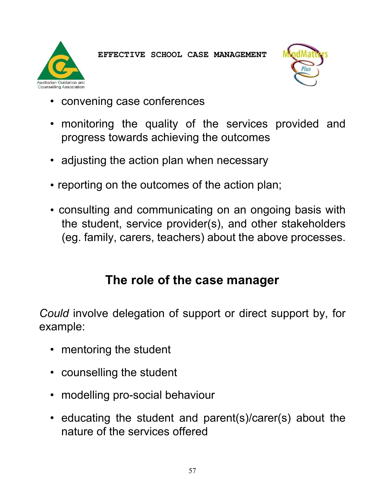Australian Guidance and Counselling Association

- convening case conferences
- monitoring the quality of the services provided and progress towards achieving the outcomes
- adjusting the action plan when necessary
- reporting on the outcomes of the action plan;
- consulting and communicating on an ongoing basis with the student, service provider(s), and other stakeholders (eg. family, carers, teachers) about the above processes.

# **The role of the case manager**

*Could* involve delegation of support or direct support by, for example:

- mentoring the student
- counselling the student
- modelling pro-social behaviour
- educating the student and parent(s)/carer(s) about the nature of the services offered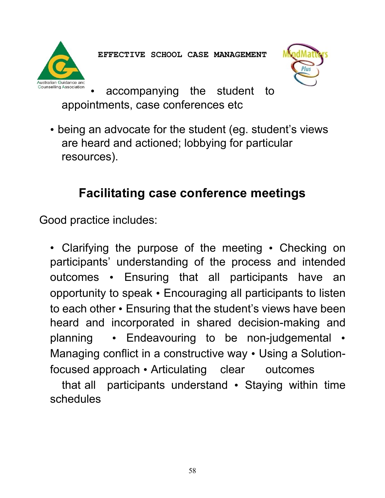



accompanying the student to appointments, case conferences etc

• being an advocate for the student (eg. student's views are heard and actioned; lobbying for particular resources).

# **Facilitating case conference meetings**

Good practice includes:

• Clarifying the purpose of the meeting • Checking on participants' understanding of the process and intended outcomes • Ensuring that all participants have an opportunity to speak • Encouraging all participants to listen to each other • Ensuring that the student's views have been heard and incorporated in shared decision-making and planning • Endeavouring to be non-judgemental • Managing conflict in a constructive way • Using a Solutionfocused approach • Articulating clear outcomes

that all participants understand • Staying within time schedules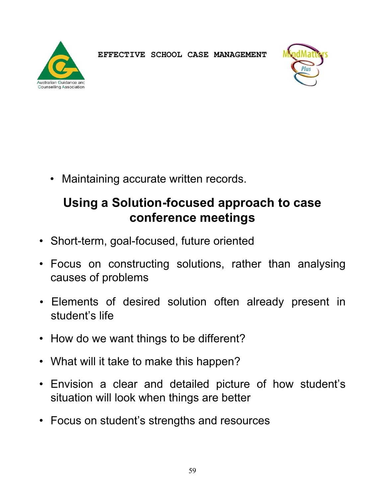



• Maintaining accurate written records.

# **Using a Solution-focused approach to case conference meetings**

- Short-term, goal-focused, future oriented
- Focus on constructing solutions, rather than analysing causes of problems
- Elements of desired solution often already present in student's life
- How do we want things to be different?
- What will it take to make this happen?
- Envision a clear and detailed picture of how student's situation will look when things are better
- Focus on student's strengths and resources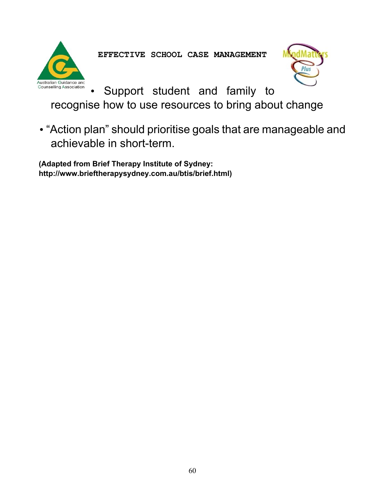Australian Guidance and **Counselling Association** 

**EFFECTIVE SCHOOL CASE MANAGEMENT** 



• Support student and family to

recognise how to use resources to bring about change

• "Action plan" should prioritise goals that are manageable and achievable in short-term.

**(Adapted from Brief Therapy Institute of Sydney: http://www.brieftherapysydney.com.au/btis/brief.html)**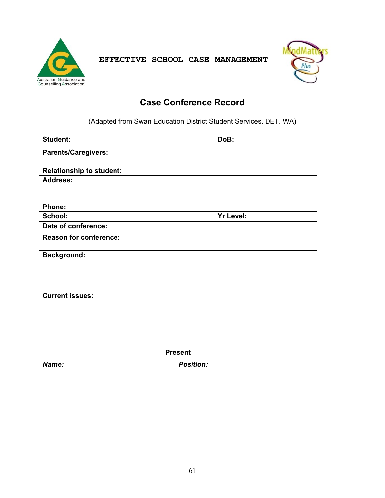



# **Case Conference Record**

(Adapted from Swan Education District Student Services, DET, WA)

| Student:                        | DoB:             |
|---------------------------------|------------------|
| <b>Parents/Caregivers:</b>      |                  |
| <b>Relationship to student:</b> |                  |
| Address:                        |                  |
|                                 |                  |
|                                 |                  |
| Phone:                          |                  |
| School:                         | <b>Yr Level:</b> |
| Date of conference:             |                  |
| <b>Reason for conference:</b>   |                  |
| <b>Background:</b>              |                  |
|                                 |                  |
|                                 |                  |
|                                 |                  |
| <b>Current issues:</b>          |                  |
|                                 |                  |
|                                 |                  |
|                                 |                  |
|                                 |                  |
|                                 | <b>Present</b>   |
| Name:                           | <b>Position:</b> |
|                                 |                  |
|                                 |                  |
|                                 |                  |
|                                 |                  |
|                                 |                  |
|                                 |                  |
|                                 |                  |
|                                 |                  |
|                                 |                  |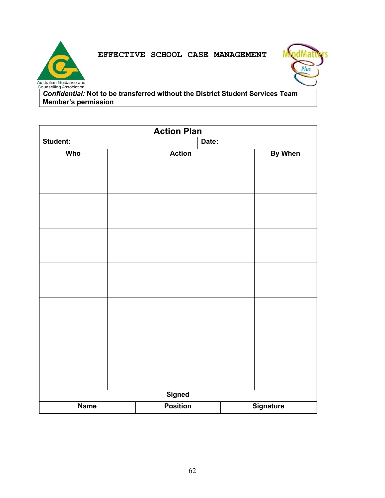



*Confidential:* **Not to be transferred without the District Student Services Team Member's permission** 

| <b>Action Plan</b> |  |                 |  |  |                  |
|--------------------|--|-----------------|--|--|------------------|
| Student:           |  | Date:           |  |  |                  |
| <b>Who</b>         |  | <b>Action</b>   |  |  | <b>By When</b>   |
|                    |  |                 |  |  |                  |
|                    |  |                 |  |  |                  |
|                    |  |                 |  |  |                  |
|                    |  |                 |  |  |                  |
|                    |  |                 |  |  |                  |
|                    |  |                 |  |  |                  |
|                    |  |                 |  |  |                  |
|                    |  |                 |  |  |                  |
|                    |  |                 |  |  |                  |
|                    |  |                 |  |  |                  |
|                    |  |                 |  |  |                  |
|                    |  |                 |  |  |                  |
|                    |  |                 |  |  |                  |
|                    |  |                 |  |  |                  |
|                    |  |                 |  |  |                  |
|                    |  |                 |  |  |                  |
|                    |  |                 |  |  |                  |
|                    |  |                 |  |  |                  |
|                    |  |                 |  |  |                  |
|                    |  |                 |  |  |                  |
|                    |  | <b>Signed</b>   |  |  |                  |
| <b>Name</b>        |  | <b>Position</b> |  |  | <b>Signature</b> |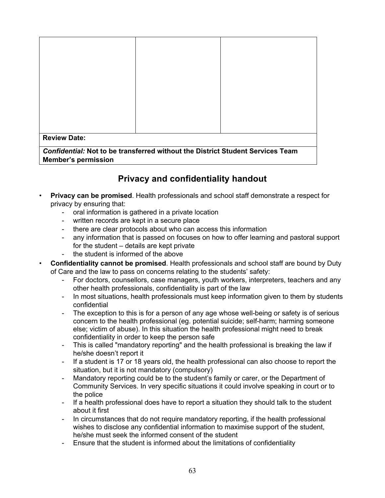| <b>Review Date:</b>                                                                                                 |  |  |  |
|---------------------------------------------------------------------------------------------------------------------|--|--|--|
| <b>Confidential: Not to be transferred without the District Student Services Team</b><br><b>Member's permission</b> |  |  |  |

# **Privacy and confidentiality handout**

- **Privacy can be promised**. Health professionals and school staff demonstrate a respect for privacy by ensuring that:
	- oral information is gathered in a private location
	- written records are kept in a secure place
	- there are clear protocols about who can access this information
	- any information that is passed on focuses on how to offer learning and pastoral support for the student – details are kept private
	- the student is informed of the above
- **Confidentiality cannot be promised**. Health professionals and school staff are bound by Duty of Care and the law to pass on concerns relating to the students' safety:
	- For doctors, counsellors, case managers, youth workers, interpreters, teachers and any other health professionals, confidentiality is part of the law
	- In most situations, health professionals must keep information given to them by students confidential
	- The exception to this is for a person of any age whose well-being or safety is of serious concern to the health professional (eg. potential suicide; self-harm; harming someone else; victim of abuse). In this situation the health professional might need to break confidentiality in order to keep the person safe
	- This is called "mandatory reporting" and the health professional is breaking the law if he/she doesn't report it
	- If a student is 17 or 18 years old, the health professional can also choose to report the situation, but it is not mandatory (compulsory)
	- Mandatory reporting could be to the student's family or carer, or the Department of Community Services. In very specific situations it could involve speaking in court or to the police
	- If a health professional does have to report a situation they should talk to the student about it first
	- In circumstances that do not require mandatory reporting, if the health professional wishes to disclose any confidential information to maximise support of the student, he/she must seek the informed consent of the student
	- Ensure that the student is informed about the limitations of confidentiality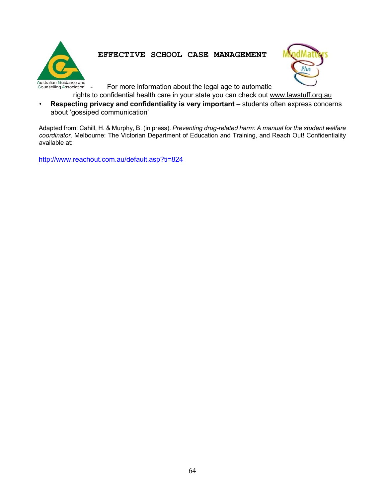



For more information about the legal age to automatic

rights to confidential health care in your state you can check out www.lawstuff.org.au

• **Respecting privacy and confidentiality is very important** – students often express concerns about 'gossiped communication'

Adapted from: Cahill, H. & Murphy, B. (in press). *Preventing drug-related harm: A manual for the student welfare coordinator*. Melbourne: The Victorian Department of Education and Training, and Reach Out! Confidentiality available at:

http://www.reachout.com.au/default.asp?ti=824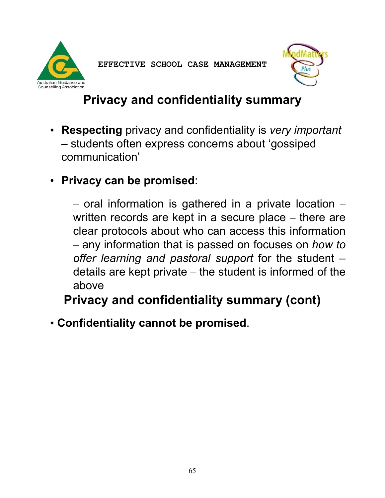



# **Privacy and confidentiality summary**

- **Respecting** privacy and confidentiality is *very important* – students often express concerns about 'gossiped communication'
- **Privacy can be promised**:

 $-$  oral information is gathered in a private location  $$ written records are kept in a secure place – there are clear protocols about who can access this information – any information that is passed on focuses on *how to offer learning and pastoral support* for the student – details are kept private – the student is informed of the above

**Privacy and confidentiality summary (cont)** 

• **Confidentiality cannot be promised**.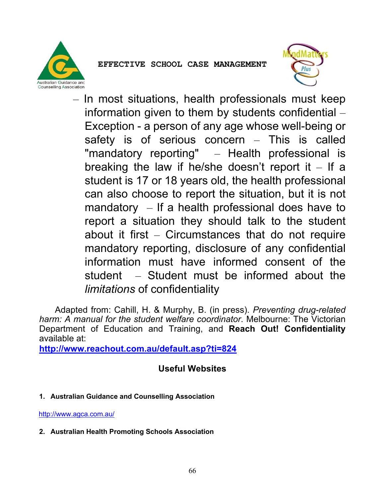



– In most situations, health professionals must keep information given to them by students confidential – Exception - a person of any age whose well-being or safety is of serious concern – This is called "mandatory reporting" – Health professional is breaking the law if he/she doesn't report it  $-$  If a student is 17 or 18 years old, the health professional can also choose to report the situation, but it is not mandatory  $-$  If a health professional does have to report a situation they should talk to the student about it first – Circumstances that do not require mandatory reporting, disclosure of any confidential information must have informed consent of the student – Student must be informed about the *limitations* of confidentiality

 Adapted from: Cahill, H. & Murphy, B. (in press). *Preventing drug-related harm: A manual for the student welfare coordinator*. Melbourne: The Victorian Department of Education and Training, and **Reach Out! Confidentiality**  available at:

**http://www.reachout.com.au/default.asp?ti=824**

# **Useful Websites**

**1. Australian Guidance and Counselling Association** 

http://www.agca.com.au/

**2. Australian Health Promoting Schools Association**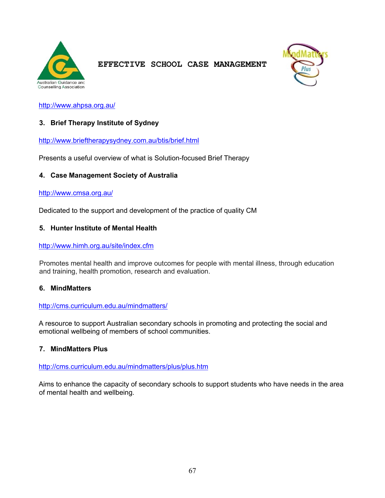



http://www.ahpsa.org.au/

### **3. Brief Therapy Institute of Sydney**

http://www.brieftherapysydney.com.au/btis/brief.html

Presents a useful overview of what is Solution-focused Brief Therapy

#### **4. Case Management Society of Australia**

#### http://www.cmsa.org.au/

Dedicated to the support and development of the practice of quality CM

### **5. Hunter Institute of Mental Health**

#### http://www.himh.org.au/site/index.cfm

Promotes mental health and improve outcomes for people with mental illness, through education and training, health promotion, research and evaluation.

#### **6. MindMatters**

#### http://cms.curriculum.edu.au/mindmatters/

A resource to support Australian secondary schools in promoting and protecting the social and emotional wellbeing of members of school communities.

#### **7. MindMatters Plus**

http://cms.curriculum.edu.au/mindmatters/plus/plus.htm

Aims to enhance the capacity of secondary schools to support students who have needs in the area of mental health and wellbeing.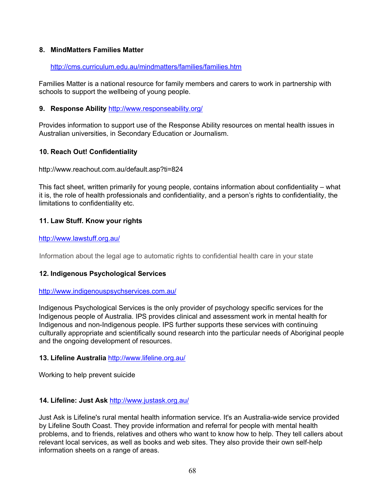### **8. MindMatters Families Matter**

### http://cms.curriculum.edu.au/mindmatters/families/families.htm

Families Matter is a national resource for family members and carers to work in partnership with schools to support the wellbeing of young people.

### **9. Response Ability** http://www.responseability.org/

Provides information to support use of the Response Ability resources on mental health issues in Australian universities, in Secondary Education or Journalism.

### **10. Reach Out! Confidentiality**

http://www.reachout.com.au/default.asp?ti=824

This fact sheet, written primarily for young people, contains information about confidentiality – what it is, the role of health professionals and confidentiality, and a person's rights to confidentiality, the limitations to confidentiality etc.

### **11. Law Stuff. Know your rights**

### http://www.lawstuff.org.au/

Information about the legal age to automatic rights to confidential health care in your state

### **12. Indigenous Psychological Services**

#### http://www.indigenouspsychservices.com.au/

Indigenous Psychological Services is the only provider of psychology specific services for the Indigenous people of Australia. IPS provides clinical and assessment work in mental health for Indigenous and non-Indigenous people. IPS further supports these services with continuing culturally appropriate and scientifically sound research into the particular needs of Aboriginal people and the ongoing development of resources.

### **13. Lifeline Australia** http://www.lifeline.org.au/

Working to help prevent suicide

### **14. Lifeline: Just Ask** http://www.justask.org.au/

Just Ask is Lifeline's rural mental health information service. It's an Australia-wide service provided by Lifeline South Coast. They provide information and referral for people with mental health problems, and to friends, relatives and others who want to know how to help. They tell callers about relevant local services, as well as books and web sites. They also provide their own self-help information sheets on a range of areas.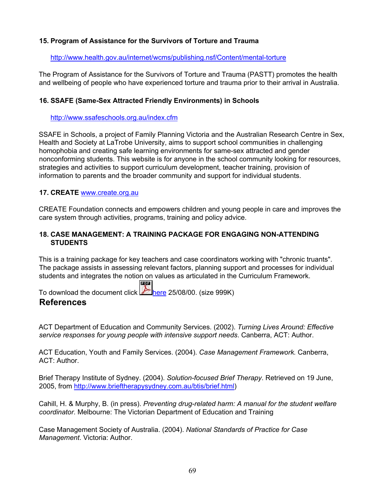### **15. Program of Assistance for the Survivors of Torture and Trauma**

### http://www.health.gov.au/internet/wcms/publishing.nsf/Content/mental-torture

The Program of Assistance for the Survivors of Torture and Trauma (PASTT) promotes the health and wellbeing of people who have experienced torture and trauma prior to their arrival in Australia.

### **16. SSAFE (Same-Sex Attracted Friendly Environments) in Schools**

#### http://www.ssafeschools.org.au/index.cfm

SSAFE in Schools, a project of Family Planning Victoria and the Australian Research Centre in Sex, Health and Society at LaTrobe University, aims to support school communities in challenging homophobia and creating safe learning environments for same-sex attracted and gender nonconforming students. This website is for anyone in the school community looking for resources, strategies and activities to support curriculum development, teacher training, provision of information to parents and the broader community and support for individual students.

### **17. CREATE** www.create.org.au

CREATE Foundation connects and empowers children and young people in care and improves the care system through activities, programs, training and policy advice.

### **18. CASE MANAGEMENT: A TRAINING PACKAGE FOR ENGAGING NON-ATTENDING STUDENTS**

This is a training package for key teachers and case coordinators working with "chronic truants". The package assists in assessing relevant factors, planning support and processes for individual students and integrates the notion on values as articulated in the Curriculum Framework.

To download the document click  $\mathbb{R}$  here 25/08/00. (size 999K) **References**

PDF

ACT Department of Education and Community Services. (2002). *Turning Lives Around: Effective service responses for young people with intensive support needs*. Canberra, ACT: Author.

ACT Education, Youth and Family Services. (2004). *Case Management Framework.* Canberra, ACT: Author.

Brief Therapy Institute of Sydney. (2004). *Solution-focused Brief Therapy*. Retrieved on 19 June, 2005, from http://www.brieftherapysydney.com.au/btis/brief.html)

Cahill, H. & Murphy, B. (in press). *Preventing drug-related harm: A manual for the student welfare coordinator*. Melbourne: The Victorian Department of Education and Training

Case Management Society of Australia. (2004). *National Standards of Practice for Case Management*. Victoria: Author.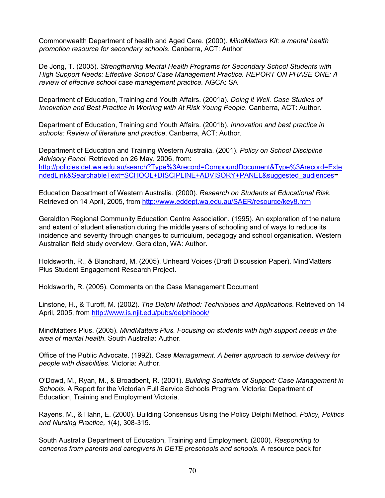Commonwealth Department of health and Aged Care. (2000). *MindMatters Kit: a mental health promotion resource for secondary schools*. Canberra, ACT: Author

De Jong, T. (2005). *Strengthening Mental Health Programs for Secondary School Students with High Support Needs: Effective School Case Management Practice. REPORT ON PHASE ONE: A review of effective school case management practice.* AGCA: SA

Department of Education, Training and Youth Affairs. (2001a). *Doing it Well. Case Studies of Innovation and Best Practice in Working with At Risk Young People.* Canberra, ACT: Author.

Department of Education, Training and Youth Affairs. (2001b). *Innovation and best practice in schools: Review of literature and practice*. Canberra, ACT: Author.

Department of Education and Training Western Australia. (2001). *Policy on School Discipline Advisory Panel.* Retrieved on 26 May, 2006, from: http://policies.det.wa.edu.au/search?Type%3Arecord=CompoundDocument&Type%3Arecord=Exte ndedLink&SearchableText=SCHOOL+DISCIPLINE+ADVISORY+PANEL&suggested\_audiences=

Education Department of Western Australia. (2000). *Research on Students at Educational Risk.* Retrieved on 14 April, 2005, from http://www.eddept.wa.edu.au/SAER/resource/key8.htm

Geraldton Regional Community Education Centre Association. (1995). An exploration of the nature and extent of student alienation during the middle years of schooling and of ways to reduce its incidence and severity through changes to curriculum, pedagogy and school organisation. Western Australian field study overview. Geraldton, WA: Author.

Holdsworth, R., & Blanchard, M. (2005). Unheard Voices (Draft Discussion Paper). MindMatters Plus Student Engagement Research Project.

Holdsworth, R. (2005). Comments on the Case Management Document

Linstone, H., & Turoff, M. (2002). *The Delphi Method: Techniques and Applications*. Retrieved on 14 April, 2005, from http://www.is.njit.edu/pubs/delphibook/

MindMatters Plus. (2005). *MindMatters Plus. Focusing on students with high support needs in the area of mental health*. South Australia: Author.

Office of the Public Advocate. (1992). *Case Management. A better approach to service delivery for people with disabilities*. Victoria: Author.

O'Dowd, M., Ryan, M., & Broadbent, R. (2001). *Building Scaffolds of Support: Case Management in Schools*. A Report for the Victorian Full Service Schools Program. Victoria: Department of Education, Training and Employment Victoria.

Rayens, M., & Hahn, E. (2000). Building Consensus Using the Policy Delphi Method. *Policy, Politics and Nursing Practice, 1*(4), 308-315.

South Australia Department of Education, Training and Employment. (2000). *Responding to concerns from parents and caregivers in DETE preschools and schools.* A resource pack for